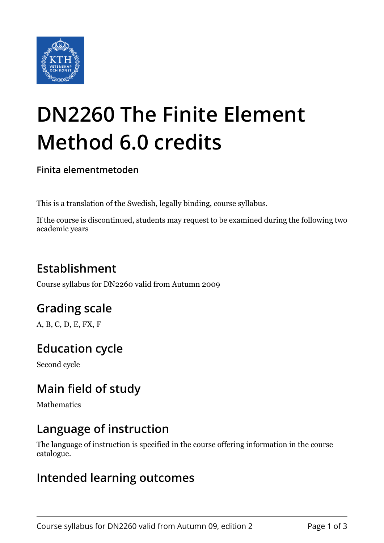

# **DN2260 The Finite Element Method 6.0 credits**

**Finita elementmetoden**

This is a translation of the Swedish, legally binding, course syllabus.

If the course is discontinued, students may request to be examined during the following two academic years

# **Establishment**

Course syllabus for DN2260 valid from Autumn 2009

# **Grading scale**

A, B, C, D, E, FX, F

## **Education cycle**

Second cycle

## **Main field of study**

Mathematics

## **Language of instruction**

The language of instruction is specified in the course offering information in the course catalogue.

#### **Intended learning outcomes**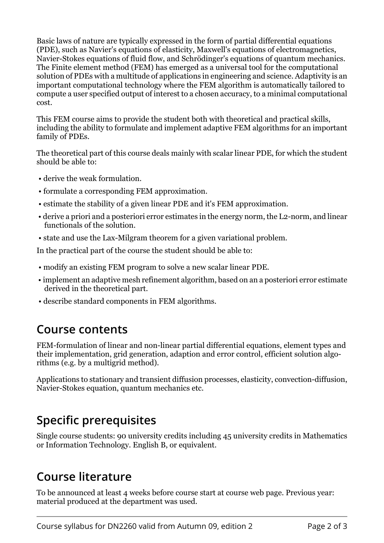Basic laws of nature are typically expressed in the form of partial differential equations (PDE), such as Navier's equations of elasticity, Maxwell's equations of electromagnetics, Navier-Stokes equations of fluid flow, and Schrödinger's equations of quantum mechanics. The Finite element method (FEM) has emerged as a universal tool for the computational solution of PDEs with a multitude of applications in engineering and science. Adaptivity is an important computational technology where the FEM algorithm is automatically tailored to compute a user specified output of interest to a chosen accuracy, to a minimal computational cost.

This FEM course aims to provide the student both with theoretical and practical skills, including the ability to formulate and implement adaptive FEM algorithms for an important family of PDEs.

The theoretical part of this course deals mainly with scalar linear PDE, for which the student should be able to:

- derive the weak formulation.
- formulate a corresponding FEM approximation.
- estimate the stability of a given linear PDE and it's FEM approximation.
- derive a priori and a posteriori error estimates in the energy norm, the L2-norm, and linear functionals of the solution.
- state and use the Lax-Milgram theorem for a given variational problem.

In the practical part of the course the student should be able to:

- modify an existing FEM program to solve a new scalar linear PDE.
- implement an adaptive mesh refinement algorithm, based on an a posteriori error estimate derived in the theoretical part.
- describe standard components in FEM algorithms.

#### **Course contents**

FEM-formulation of linear and non-linear partial differential equations, element types and their implementation, grid generation, adaption and error control, efficient solution algorithms (e.g. by a multigrid method).

Applications to stationary and transient diffusion processes, elasticity, convection-diffusion, Navier-Stokes equation, quantum mechanics etc.

## **Specific prerequisites**

Single course students: 90 university credits including 45 university credits in Mathematics or Information Technology. English B, or equivalent.

#### **Course literature**

To be announced at least 4 weeks before course start at course web page. Previous year: material produced at the department was used.